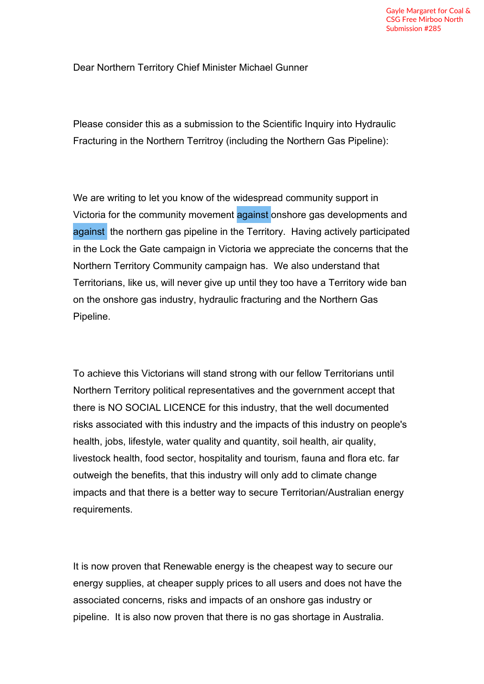Dear Northern Territory Chief Minister Michael Gunner

Please consider this as a submission to the Scientific Inquiry into Hydraulic Fracturing in the Northern Territroy (including the Northern Gas Pipeline):

We are writing to let you know of the widespread community support in Victoria for the community movement against onshore gas developments and against the northern gas pipeline in the Territory. Having actively participated in the Lock the Gate campaign in Victoria we appreciate the concerns that the Northern Territory Community campaign has. We also understand that Territorians, like us, will never give up until they too have a Territory wide ban on the onshore gas industry, hydraulic fracturing and the Northern Gas Pipeline.

To achieve this Victorians will stand strong with our fellow Territorians until Northern Territory political representatives and the government accept that there is NO SOCIAL LICENCE for this industry, that the well documented risks associated with this industry and the impacts of this industry on people's health, jobs, lifestyle, water quality and quantity, soil health, air quality, livestock health, food sector, hospitality and tourism, fauna and flora etc. far outweigh the benefits, that this industry will only add to climate change impacts and that there is a better way to secure Territorian/Australian energy requirements.

It is now proven that Renewable energy is the cheapest way to secure our energy supplies, at cheaper supply prices to all users and does not have the associated concerns, risks and impacts of an onshore gas industry or pipeline. It is also now proven that there is no gas shortage in Australia.